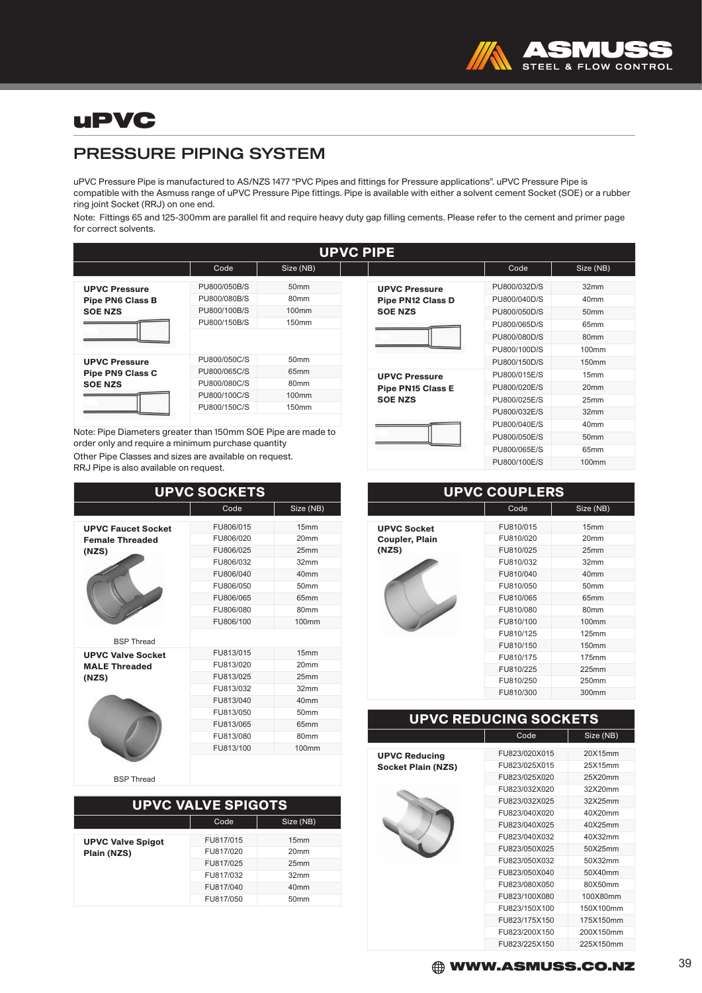

## uPVC

### PRESSURE PIPING SYSTEM

uPVC Pressure Pipe is manufactured to AS/NZS 1477 "PVC Pipes and fittings for Pressure applications". uPVC Pressure Pipe is compatible with the Asmuss range of uPVC Pressure Pipe fittings. Pipe is available with either a solvent cement Socket (SOE) or a rubber ring joint Socket (RRJ) on one end.

Note: Fittings 65 and 125-300mm are parallel fit and require heavy duty gap filling cements. Please refer to the cement and primer page for correct solvents.

|                         |              |                   | <b>UPVC PIPE</b> |            |
|-------------------------|--------------|-------------------|------------------|------------|
|                         | Code         | Size (NB)         |                  |            |
| <b>UPVC Pressure</b>    | PU800/050B/S | 50 <sub>mm</sub>  |                  | <b>UPV</b> |
| <b>Pipe PN6 Class B</b> | PU800/080B/S | 80 <sub>mm</sub>  |                  | Pipe       |
| <b>SOE NZS</b>          | PU800/100B/S | 100 <sub>mm</sub> |                  | <b>SOE</b> |
|                         | PU800/150B/S | 150mm             |                  |            |
| <b>UPVC Pressure</b>    | PU800/050C/S | 50 <sub>mm</sub>  |                  |            |
| <b>Pipe PN9 Class C</b> | PU800/065C/S | 65 <sub>mm</sub>  |                  | <b>UPV</b> |
| <b>SOE NZS</b>          | PU800/080C/S | 80 <sub>mm</sub>  |                  | Pipe       |
|                         | PU800/100C/S | 100 <sub>mm</sub> |                  | <b>SOE</b> |
|                         | PU800/150C/S | 150mm             |                  |            |

Note: Pipe Diameters greater than 150mm SOE Pipe are made to order only and require a minimum purchase quantity Other Pipe Classes and sizes are available on request. RRJ Pipe is also available on request.

| <b>UPVC SOCKETS</b>       |           |                   |  |
|---------------------------|-----------|-------------------|--|
|                           | Code      | Size (NB)         |  |
| <b>UPVC Faucet Socket</b> | FU806/015 | 15mm              |  |
| <b>Female Threaded</b>    | FU806/020 | 20mm              |  |
| (NZS)                     | FU806/025 | 25mm              |  |
|                           | FU806/032 | 32mm              |  |
|                           | FU806/040 | 40 <sub>mm</sub>  |  |
|                           | FU806/050 | 50 <sub>mm</sub>  |  |
|                           | FU806/065 | 65mm              |  |
|                           | FU806/080 | 80mm              |  |
|                           | FU806/100 | 100mm             |  |
| <b>BSP Thread</b>         |           |                   |  |
| <b>UPVC Valve Socket</b>  | FU813/015 | 15mm              |  |
| <b>MALE Threaded</b>      | FU813/020 | 20 <sub>mm</sub>  |  |
| (NZS)                     | FU813/025 | 25mm              |  |
|                           | FU813/032 | 32mm              |  |
|                           | FU813/040 | 40mm              |  |
|                           | FU813/050 | 50 <sub>mm</sub>  |  |
|                           | FU813/065 | 65mm              |  |
|                           | FU813/080 | 80mm              |  |
|                           | FU813/100 | 100 <sub>mm</sub> |  |
|                           |           |                   |  |

BSP Thread

| <b>UPVC VALVE SPIGOTS</b> |                  |  |  |
|---------------------------|------------------|--|--|
| Size (NB)<br>Code         |                  |  |  |
| FU817/015                 | 15mm             |  |  |
| FU817/020                 | 20mm             |  |  |
| FU817/025                 | 25mm             |  |  |
| FU817/032                 | 32mm             |  |  |
| FU817/040                 | 40 <sub>mm</sub> |  |  |
| FU817/050                 | 50 <sub>mm</sub> |  |  |
|                           |                  |  |  |

| UFVU FIFE                    |                            |                          |              |                  |
|------------------------------|----------------------------|--------------------------|--------------|------------------|
| Code                         | Size (NB)                  |                          | Code         | Size (NB)        |
| 00/050B/S                    | 50 <sub>mm</sub>           | <b>UPVC Pressure</b>     | PU800/032D/S | 32mm             |
| 00/080B/S                    | 80 <sub>mm</sub>           | <b>Pipe PN12 Class D</b> | PU800/040D/S | 40mm             |
| 00/100B/S                    | 100mm                      | <b>SOE NZS</b>           | PU800/050D/S | 50mm             |
| 00/150B/S                    | 150mm                      |                          | PU800/065D/S | 65mm             |
|                              |                            |                          | PU800/080D/S | 80mm             |
|                              |                            |                          | PU800/100D/S | 100mm            |
| 00/050C/S                    | 50mm                       |                          | PU800/150D/S | 150mm            |
| 00/065C/S                    | 65mm                       | <b>UPVC Pressure</b>     | PU800/015E/S | 15mm             |
| 00/080C/S                    | 80 <sub>mm</sub>           | <b>Pipe PN15 Class E</b> | PU800/020E/S | 20mm             |
| 00/100C/S                    | 100mm                      | <b>SOE NZS</b>           | PU800/025E/S | 25mm             |
| 00/150C/S                    | 150mm                      |                          | PU800/032E/S | 32mm             |
|                              |                            |                          | PU800/040E/S | 40mm             |
|                              | 150mm SOE Pipe are made to |                          | PU800/050E/S | 50 <sub>mm</sub> |
| purchase quantity            |                            |                          | PU800/065E/S | 65mm             |
| vailable on request.<br>:st. |                            |                          | PU800/100E/S | 100mm            |

| <b>UPVC COUPLERS</b>                                 |                                                                                                                                                          |                                                                                                                                                                |  |
|------------------------------------------------------|----------------------------------------------------------------------------------------------------------------------------------------------------------|----------------------------------------------------------------------------------------------------------------------------------------------------------------|--|
|                                                      | Code                                                                                                                                                     | Size (NB)                                                                                                                                                      |  |
| <b>UPVC Socket</b><br><b>Coupler, Plain</b><br>(NZS) | FU810/015<br>FU810/020<br>FU810/025<br>FU810/032<br>FU810/040<br>FU810/050<br>FU810/065<br>FU810/080<br>FU810/100<br>FU810/125<br>FU810/150<br>FU810/175 | 15mm<br>20 <sub>mm</sub><br>25mm<br>32mm<br>40 <sub>mm</sub><br>50mm<br>65 <sub>mm</sub><br>80 <sub>mm</sub><br>100mm<br><b>125mm</b><br><b>150mm</b><br>175mm |  |
|                                                      | FU810/225<br>FU810/250                                                                                                                                   | 225mm<br>250mm                                                                                                                                                 |  |
|                                                      | FU810/300                                                                                                                                                | 300mm                                                                                                                                                          |  |

#### UPVC REDUCING SOCKETS

UPVC Reducing Socket Plain (NZS)



| Code          | Size (NB) |  |  |
|---------------|-----------|--|--|
|               |           |  |  |
| FU823/020X015 | 20X15mm   |  |  |
| FU823/025X015 | 25X15mm   |  |  |
| FU823/025X020 | 25X20mm   |  |  |
| FU823/032X020 | 32X20mm   |  |  |
| FU823/032X025 | 32X25mm   |  |  |
| FU823/040X020 | 40X20mm   |  |  |
| FU823/040X025 | 40X25mm   |  |  |
| FU823/040X032 | 40X32mm   |  |  |
| FU823/050X025 | 50X25mm   |  |  |
| FU823/050X032 | 50X32mm   |  |  |
| FU823/050X040 | 50X40mm   |  |  |
| FU823/080X050 | 80X50mm   |  |  |
| FU823/100X080 | 100X80mm  |  |  |
| FU823/150X100 | 150X100mm |  |  |
| FU823/175X150 | 175X150mm |  |  |
| FU823/200X150 | 200X150mm |  |  |
| FU823/225X150 | 225X150mm |  |  |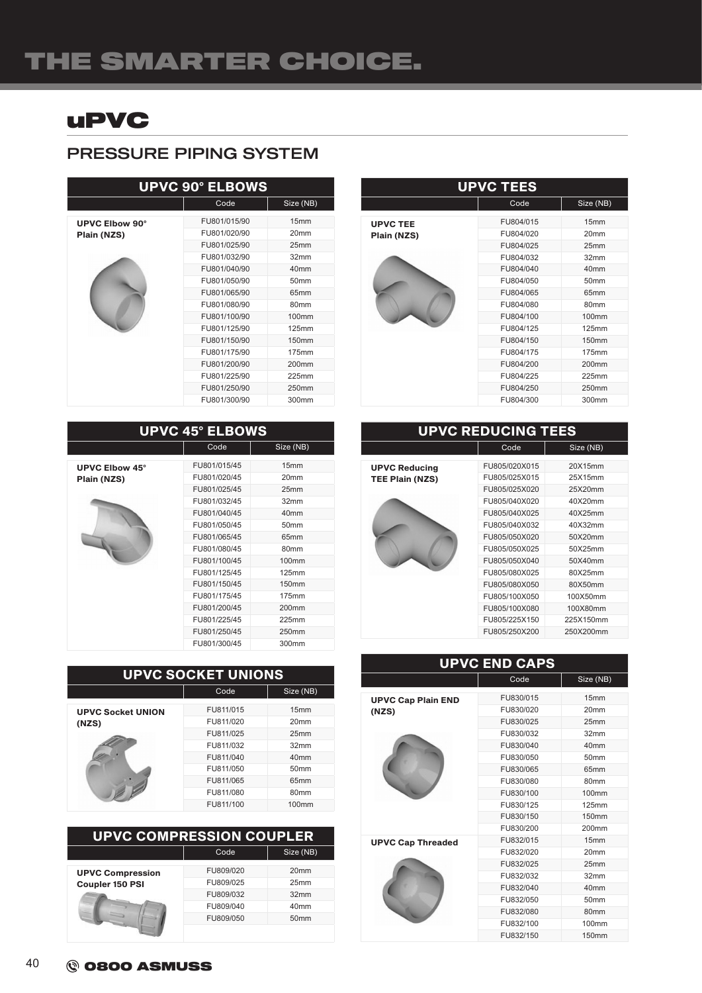# THE SMARTER CHOICE.

## uPVC

### PRESSURE PIPING SYSTEM

| <b>UPVC 90° ELBOWS</b> |              |                   |  |
|------------------------|--------------|-------------------|--|
|                        | Code         | Size (NB)         |  |
| UPVC Elbow 90°         | FU801/015/90 | 15mm              |  |
| Plain (NZS)            | FU801/020/90 | 20 <sub>mm</sub>  |  |
|                        | FU801/025/90 | 25mm              |  |
|                        | FU801/032/90 | 32mm              |  |
|                        | FU801/040/90 | 40mm              |  |
|                        | FU801/050/90 | 50 <sub>mm</sub>  |  |
|                        | FU801/065/90 | 65mm              |  |
|                        | FU801/080/90 | 80mm              |  |
|                        | FU801/100/90 | 100 <sub>mm</sub> |  |
|                        | FU801/125/90 | 125mm             |  |
|                        | FU801/150/90 | 150mm             |  |
|                        | FU801/175/90 | 175mm             |  |
|                        | FU801/200/90 | 200 <sub>mm</sub> |  |
|                        | FU801/225/90 | 225mm             |  |
|                        | FU801/250/90 | 250mm             |  |
|                        | FU801/300/90 | 300mm             |  |

| <b>UPVC 45° ELBOWS</b> |              |                   |  |
|------------------------|--------------|-------------------|--|
|                        | Code         | Size (NB)         |  |
| <b>UPVC Elbow 45°</b>  | FU801/015/45 | 15mm              |  |
| Plain (NZS)            | FU801/020/45 | 20 <sub>mm</sub>  |  |
|                        | FU801/025/45 | 25mm              |  |
|                        | FU801/032/45 | 32mm              |  |
|                        | FU801/040/45 | 40mm              |  |
|                        | FU801/050/45 | 50 <sub>mm</sub>  |  |
|                        | FU801/065/45 | 65mm              |  |
|                        | FU801/080/45 | 80 <sub>mm</sub>  |  |
|                        | FU801/100/45 | 100 <sub>mm</sub> |  |
|                        | FU801/125/45 | 125mm             |  |
|                        | FU801/150/45 | 150 <sub>mm</sub> |  |
|                        | FU801/175/45 | 175mm             |  |
|                        | FU801/200/45 | 200 <sub>mm</sub> |  |
|                        | FU801/225/45 | 225mm             |  |
|                        | FU801/250/45 | 250mm             |  |
|                        | FU801/300/45 | 300mm             |  |

| <b>UPVC SOCKET UNIONS</b> |           |                   |  |
|---------------------------|-----------|-------------------|--|
|                           | Code      | Size (NB)         |  |
| <b>UPVC Socket UNION</b>  | FU811/015 | 15mm              |  |
| (NZS)                     | FU811/020 | 20 <sub>mm</sub>  |  |
|                           | FU811/025 | 25mm              |  |
|                           | FU811/032 | 32mm              |  |
|                           | FU811/040 | 40 <sub>mm</sub>  |  |
|                           | FU811/050 | 50 <sub>mm</sub>  |  |
|                           | FU811/065 | 65mm              |  |
|                           | FU811/080 | 80 <sub>mm</sub>  |  |
|                           | FU811/100 | 100 <sub>mm</sub> |  |

| <b>UPVC COMPRESSION COUPLER</b> |           |                  |  |
|---------------------------------|-----------|------------------|--|
|                                 | Code      | Size (NB)        |  |
| <b>UPVC Compression</b>         | FU809/020 | 20 <sub>mm</sub> |  |
| <b>Coupler 150 PSI</b>          | FU809/025 | 25mm             |  |
|                                 | FU809/032 | 32mm             |  |
|                                 | FU809/040 | 40mm             |  |
|                                 | FU809/050 | 50 <sub>mm</sub> |  |
|                                 |           |                  |  |

| <b>UPVC TEES</b>               |                                                  |                                                      |  |
|--------------------------------|--------------------------------------------------|------------------------------------------------------|--|
|                                | Code                                             | Size (NB)                                            |  |
| <b>UPVC TEE</b><br>Plain (NZS) | FU804/015<br>FU804/020<br>FU804/025<br>FU804/032 | 15 <sub>mm</sub><br>20 <sub>mm</sub><br>25mm<br>32mm |  |
|                                | FU804/040<br>FU804/050<br>FU804/065              | 40mm<br>50 <sub>mm</sub><br>65mm                     |  |
|                                | FU804/080<br>FU804/100<br>FU804/125              | 80 <sub>mm</sub><br>100 <sub>mm</sub><br>125mm       |  |
|                                | FU804/150<br>FU804/175<br>FU804/200              | 150mm<br>175mm<br>200 <sub>mm</sub>                  |  |
|                                | FU804/225<br>FU804/250                           | 225mm<br>250mm                                       |  |
|                                | FU804/300                                        | 300mm                                                |  |

| <b>UPVC REDUCING TEES</b> |               |           |
|---------------------------|---------------|-----------|
|                           | Code          | Size (NB) |
| <b>UPVC Reducing</b>      | FU805/020X015 | 20X15mm   |
| <b>TEE Plain (NZS)</b>    | FU805/025X015 | 25X15mm   |
|                           | FU805/025X020 | 25X20mm   |
|                           | FU805/040X020 | 40X20mm   |
|                           | FU805/040X025 | 40X25mm   |
|                           | FU805/040X032 | 40X32mm   |
|                           | FU805/050X020 | 50X20mm   |
|                           | FU805/050X025 | 50X25mm   |
|                           | FU805/050X040 | 50X40mm   |
|                           | FU805/080X025 | 80X25mm   |
|                           | FU805/080X050 | 80X50mm   |
|                           | FU805/100X050 | 100X50mm  |
|                           | FU805/100X080 | 100X80mm  |
|                           | FU805/225X150 | 225X150mm |
|                           | FU805/250X200 | 250X200mm |
|                           |               |           |

| <b>UPVC END CAPS</b>      |           |                   |
|---------------------------|-----------|-------------------|
|                           | Code      | Size (NB)         |
| <b>UPVC Cap Plain END</b> | FU830/015 | 15mm              |
| (NZS)                     | FU830/020 | 20 <sub>mm</sub>  |
|                           | FU830/025 | 25mm              |
|                           | FU830/032 | 32mm              |
|                           | FU830/040 | 40mm              |
|                           | FU830/050 | 50mm              |
|                           | FU830/065 | 65mm              |
|                           | FU830/080 | 80mm              |
|                           | FU830/100 | 100mm             |
|                           | FU830/125 | <b>125mm</b>      |
|                           | FU830/150 | <b>150mm</b>      |
|                           | FU830/200 | 200 <sub>mm</sub> |
| <b>UPVC Cap Threaded</b>  | FU832/015 | 15mm              |
|                           | FU832/020 | 20 <sub>mm</sub>  |
|                           | FU832/025 | 25mm              |
|                           | FU832/032 | 32mm              |
|                           | FU832/040 | 40mm              |
|                           | FU832/050 | 50mm              |
|                           | FU832/080 | 80mm              |
|                           | FU832/100 | 100mm             |
|                           | FU832/150 | <b>150mm</b>      |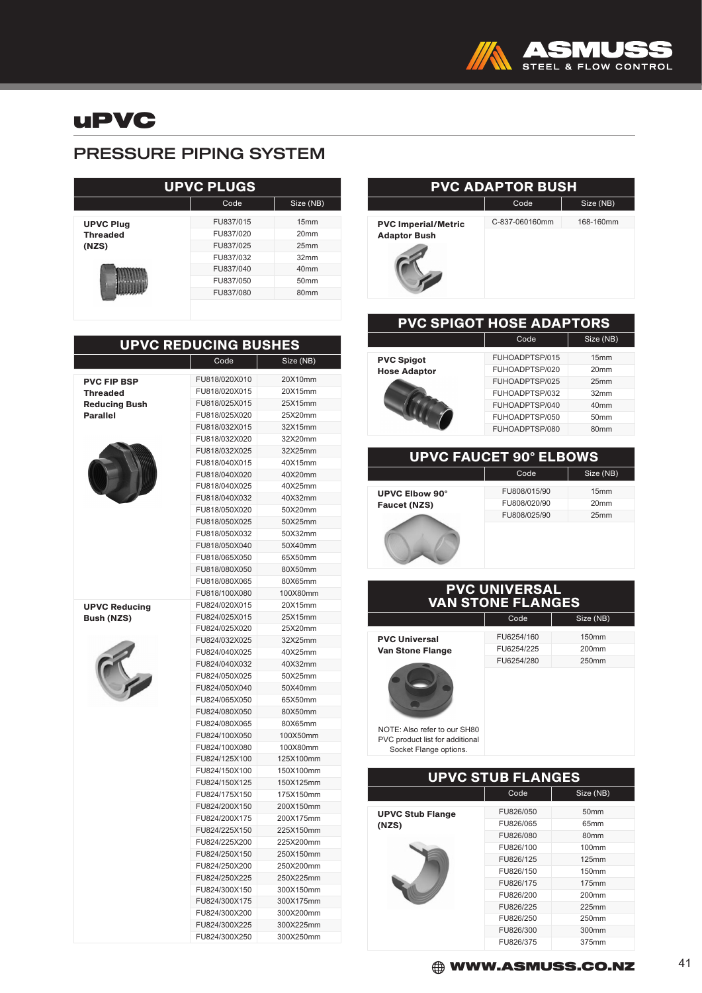

## uPVC

### PRESSURE PIPING SYSTEM

| <b>UPVC PLUGS</b>        |           |                  |  |
|--------------------------|-----------|------------------|--|
|                          | Code      | Size (NB)        |  |
| <b>UPVC Plug</b>         | FU837/015 | 15mm             |  |
| <b>Threaded</b><br>(NZS) | FU837/020 | 20mm             |  |
|                          | FU837/025 | 25mm             |  |
|                          | FU837/032 | 32mm             |  |
|                          | FU837/040 | 40 <sub>mm</sub> |  |
|                          | FU837/050 | 50 <sub>mm</sub> |  |
|                          | FU837/080 | 80mm             |  |
|                          |           |                  |  |

| <b>UPVC REDUCING BUSHES</b> |               |           |
|-----------------------------|---------------|-----------|
|                             | Code          | Size (NB) |
| <b>PVC FIP BSP</b>          | FU818/020X010 | 20X10mm   |
| <b>Threaded</b>             | FU818/020X015 | 20X15mm   |
| <b>Reducing Bush</b>        | FU818/025X015 | 25X15mm   |
| <b>Parallel</b>             | FU818/025X020 | 25X20mm   |
|                             | FU818/032X015 | 32X15mm   |
|                             | FU818/032X020 | 32X20mm   |
|                             | FU818/032X025 | 32X25mm   |
|                             | FU818/040X015 | 40X15mm   |
|                             | FU818/040X020 | 40X20mm   |
|                             | FU818/040X025 | 40X25mm   |
|                             | FU818/040X032 | 40X32mm   |
|                             | FU818/050X020 | 50X20mm   |
|                             | FU818/050X025 | 50X25mm   |
|                             | FU818/050X032 | 50X32mm   |
|                             | FU818/050X040 | 50X40mm   |
|                             | FU818/065X050 | 65X50mm   |
|                             | FU818/080X050 | 80X50mm   |
|                             | FU818/080X065 | 80X65mm   |
|                             | FU818/100X080 | 100X80mm  |
| <b>UPVC Reducing</b>        | FU824/020X015 | 20X15mm   |
| <b>Bush (NZS)</b>           | FU824/025X015 | 25X15mm   |
|                             | FU824/025X020 | 25X20mm   |
|                             | FU824/032X025 | 32X25mm   |
|                             | FU824/040X025 | 40X25mm   |
|                             | FU824/040X032 | 40X32mm   |
|                             | FU824/050X025 | 50X25mm   |
|                             | FU824/050X040 | 50X40mm   |
|                             | FU824/065X050 | 65X50mm   |
|                             | FU824/080X050 | 80X50mm   |
|                             | FU824/080X065 | 80X65mm   |
|                             | FU824/100X050 | 100X50mm  |
|                             | FU824/100X080 | 100X80mm  |
|                             | FU824/125X100 | 125X100mm |
|                             | FU824/150X100 | 150X100mm |
|                             | FU824/150X125 | 150X125mm |
|                             | FU824/175X150 | 175X150mm |
|                             | FU824/200X150 | 200X150mm |
|                             | FU824/200X175 | 200X175mm |
|                             | FU824/225X150 | 225X150mm |
|                             | FU824/225X200 | 225X200mm |
|                             | FU824/250X150 | 250X150mm |
|                             | FU824/250X200 | 250X200mm |
|                             | FU824/250X225 | 250X225mm |
|                             | FU824/300X150 | 300X150mm |
|                             | FU824/300X175 | 300X175mm |
|                             | FU824/300X200 | 300X200mm |
|                             | FU824/300X225 | 300X225mm |

FU824/300X250 300X250mm

#### PVC ADAPTOR BUSH Code Size (NB) PVC Imperial/Metric Adaptor Bush C-837-060160mm 168-160mm

| <b>PVC SPIGOT HOSE ADAPTORS</b>          |                                                                      |                                              |
|------------------------------------------|----------------------------------------------------------------------|----------------------------------------------|
|                                          | Code                                                                 | Size (NB)                                    |
| <b>PVC Spigot</b><br><b>Hose Adaptor</b> | FUHOADPTSP/015<br>FUHOADPTSP/020<br>FUHOADPTSP/025<br>FUHOADPTSP/032 | 15mm<br>20 <sub>mm</sub><br>25mm<br>32mm     |
|                                          | FUHOADPTSP/040<br>FUHOADPTSP/050<br>FUHOADPTSP/080                   | 40mm<br>50 <sub>mm</sub><br>80 <sub>mm</sub> |
|                                          |                                                                      |                                              |

#### UPVC FAUCET 90° ELBOWS

UPVC Elbow 90° Faucet (NZS)

Г

| Code         | Size (NB)        |
|--------------|------------------|
| FU808/015/90 | 15 <sub>mm</sub> |
| FU808/020/90 | 20 <sub>mm</sub> |
| FU808/025/90 | 25mm             |
|              |                  |
|              |                  |

#### PVC UNIVERSAL VAN STONE FLANGES Code | Size (NB)

PVC Universal Van Stone Flange

| FU6254/160 | 150 <sub>mm</sub> |
|------------|-------------------|
| FU6254/225 | 200mm             |
| FU6254/280 | 250mm             |
|            |                   |
|            |                   |
|            |                   |
|            |                   |
|            |                   |

NOTE: Also refer to our SH80 PVC product list for additional Socket Flange options.

| <b>UPVC STUB FLANGES</b> |           |                   |
|--------------------------|-----------|-------------------|
|                          | Code      | Size (NB)         |
| <b>UPVC Stub Flange</b>  | FU826/050 | 50 <sub>mm</sub>  |
| (NZS)                    | FU826/065 | 65 <sub>mm</sub>  |
|                          | FU826/080 | 80 <sub>mm</sub>  |
|                          | FU826/100 | 100 <sub>mm</sub> |
|                          | FU826/125 | 125mm             |
|                          | FU826/150 | 150 <sub>mm</sub> |
|                          | FU826/175 | 175mm             |
|                          | FU826/200 | 200 <sub>mm</sub> |
|                          | FU826/225 | 225mm             |
|                          | FU826/250 | 250mm             |
|                          | FU826/300 | 300mm             |
|                          | FU826/375 | 375mm             |